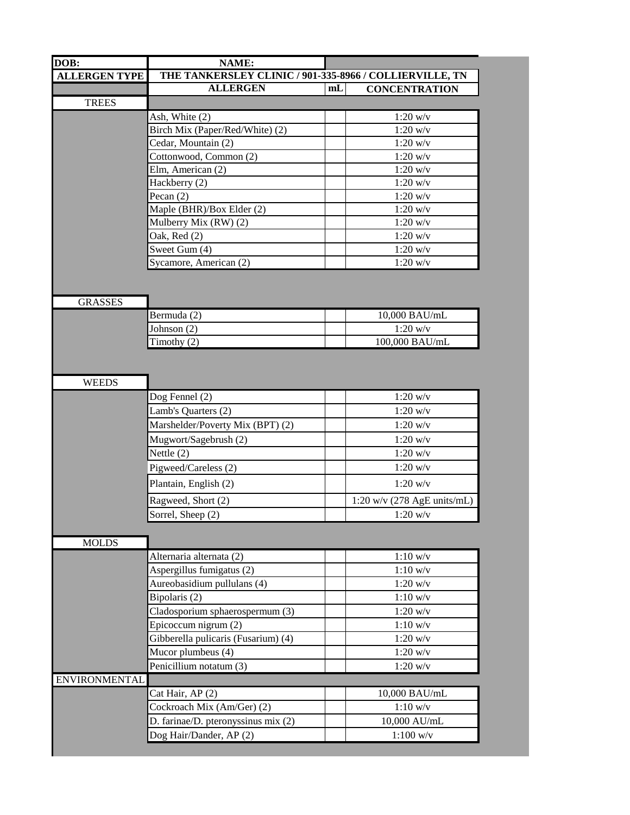| DOB:                 | NAME:                                                   |                |                               |  |  |
|----------------------|---------------------------------------------------------|----------------|-------------------------------|--|--|
| <b>ALLERGEN TYPE</b> | THE TANKERSLEY CLINIC / 901-335-8966 / COLLIERVILLE, TN |                |                               |  |  |
|                      | <b>ALLERGEN</b>                                         | m <sub>L</sub> | <b>CONCENTRATION</b>          |  |  |
| <b>TREES</b>         |                                                         |                |                               |  |  |
|                      | Ash, White (2)                                          |                | $1:20$ w/v                    |  |  |
|                      | Birch Mix (Paper/Red/White) (2)                         |                | $1:20$ w/v                    |  |  |
|                      | Cedar, Mountain (2)                                     |                | $1:20$ w/v                    |  |  |
|                      | Cottonwood, Common (2)                                  |                | $1:20$ w/v                    |  |  |
|                      | Elm, American (2)                                       |                | $1:20$ w/v                    |  |  |
|                      | Hackberry (2)                                           |                | $1:20$ w/v                    |  |  |
|                      | Pecan $(2)$                                             |                | $1:20$ w/v                    |  |  |
|                      | Maple (BHR)/Box Elder (2)                               |                | $1:20$ w/v                    |  |  |
|                      | Mulberry Mix (RW) (2)                                   |                | $1:20$ w/v                    |  |  |
|                      | Oak, Red (2)                                            |                | $1:20$ w/v                    |  |  |
|                      | Sweet Gum (4)                                           |                | $1:20$ w/v                    |  |  |
|                      | Sycamore, American (2)                                  |                | $1:20$ w/v                    |  |  |
| <b>GRASSES</b>       |                                                         |                |                               |  |  |
|                      | Bermuda (2)                                             |                | 10,000 BAU/mL                 |  |  |
|                      | Johnson (2)                                             |                | $1:20$ w/v                    |  |  |
|                      | Timothy (2)                                             |                | 100,000 BAU/mL                |  |  |
|                      | Lamb's Quarters (2)                                     |                | $1:20$ w/v                    |  |  |
|                      | Dog Fennel (2)                                          |                | $1:20$ w/v                    |  |  |
|                      | Marshelder/Poverty Mix (BPT) (2)                        |                | $1:20$ w/v                    |  |  |
|                      | Mugwort/Sagebrush (2)                                   |                | $1:20$ w/v                    |  |  |
|                      | Nettle $(2)$                                            |                | $1:20$ w/v                    |  |  |
|                      | Pigweed/Careless (2)                                    |                | $1:20$ w/v                    |  |  |
|                      | Plantain, English (2)                                   |                | $1:20$ w/v                    |  |  |
|                      |                                                         |                |                               |  |  |
|                      | Ragweed, Short (2)                                      |                | $1:20$ w/v (278 AgE units/mL) |  |  |
|                      | Sorrel, Sheep (2)                                       |                | $1:20$ w/v                    |  |  |
|                      |                                                         |                |                               |  |  |
| <b>MOLDS</b>         |                                                         |                |                               |  |  |
|                      | Alternaria alternata (2)                                |                | $1:10$ w/v                    |  |  |
|                      | Aspergillus fumigatus (2)                               |                | $1:10$ w/v                    |  |  |
|                      | Aureobasidium pullulans (4)                             |                | $1:20$ w/v                    |  |  |
|                      | Bipolaris (2)                                           |                | $1:10$ w/v                    |  |  |
|                      | Cladosporium sphaerospermum (3)                         |                | $1:20$ w/v                    |  |  |
|                      | Epicoccum nigrum (2)                                    |                | $1:10$ w/v                    |  |  |
|                      | Gibberella pulicaris (Fusarium) (4)                     |                | $1:20$ w/v                    |  |  |
|                      | Mucor plumbeus (4)                                      |                | $1:20$ w/v                    |  |  |
|                      | Penicillium notatum (3)                                 |                | $1:20$ w/v                    |  |  |
| <b>ENVIRONMENTAL</b> |                                                         |                |                               |  |  |
|                      | Cat Hair, AP (2)                                        |                | 10,000 BAU/mL                 |  |  |
|                      | Cockroach Mix (Am/Ger) (2)                              |                | 1:10 w/v                      |  |  |
|                      | D. farinae/D. pteronyssinus mix (2)                     |                | 10,000 AU/mL                  |  |  |
|                      | Dog Hair/Dander, AP (2)                                 |                | $1:100$ w/v                   |  |  |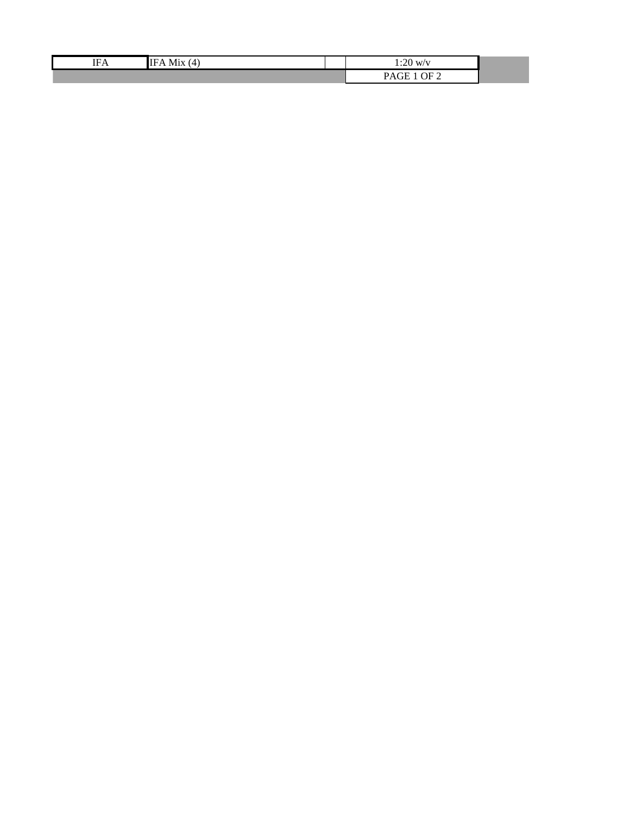| <b>IFA</b> | $\overline{4}$<br>M1X<br>IFA. | $\Omega$<br>W'<br>1.ZU       |
|------------|-------------------------------|------------------------------|
|            |                               | DF 2<br>D A L<br>'AliH<br>ັ້ |